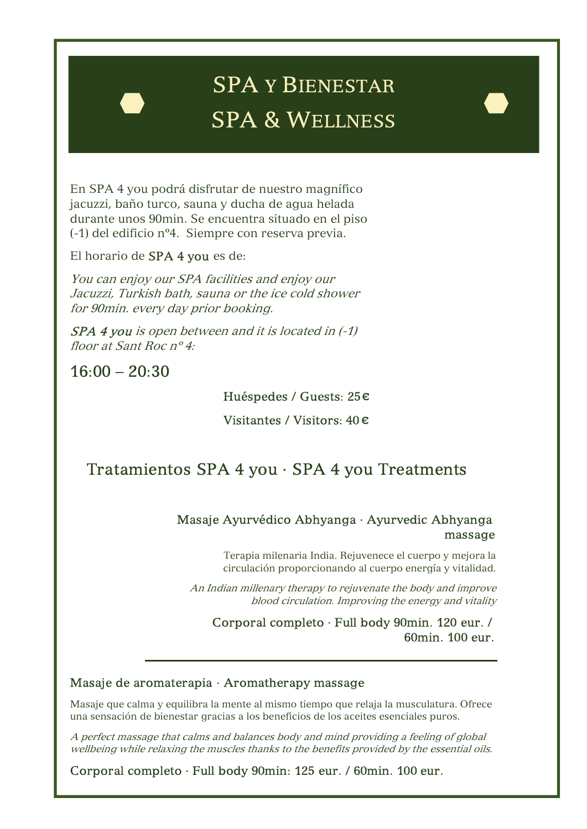# SPA Y BIENESTAR SPA & WELLNESS

En SPA 4 you podrá disfrutar de nuestro magnífico jacuzzi, baño turco, sauna y ducha de agua helada durante unos 90min. Se encuentra situado en el piso (-1) del edificio nº4. Siempre con reserva previa.

El horario de SPA 4 you es de:

You can enjoy our SPA facilities and enjoy our Jacuzzi, Turkish bath, sauna or the ice cold shower for 90min. every day prior booking.

SPA 4 you is open between and it is located in (-1) floor at Sant Roc nº 4:

 $16:00 - 20:30$ 

l

Huéspedes / Guests: 25€

Visitantes / Visitors: 40 €

# Tratamientos SPA 4 you · SPA 4 you Treatments

## Masaje Ayurvédico Abhyanga · Ayurvedic Abhyanga massage

Terapia milenaria India. Rejuvenece el cuerpo y mejora la circulación proporcionando al cuerpo energía y vitalidad.

An Indian millenary therapy to rejuvenate the body and improve blood circulation. Improving the energy and vitality

Corporal completo · Full body 90min. 120 eur. / 60min. 100 eur.

÷,

#### Masaje de aromaterapia · Aromatherapy massage

Masaje que calma y equilibra la mente al mismo tiempo que relaja la musculatura. Ofrece una sensación de bienestar gracias a los beneficios de los aceites esenciales puros.

A perfect massage that calms and balances body and mind providing a feeling of global wellbeing while relaxing the muscles thanks to the benefits provided by the essential oils.

Corporal completo · Full body 90min: 125 eur. / 60min. 100 eur.